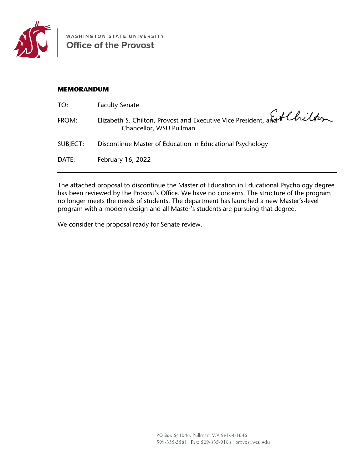

WASHINGTON STATE UNIVERSITY

## **MEMORANDUM**

| TO:      | <b>Faculty Senate</b>                                                                               |
|----------|-----------------------------------------------------------------------------------------------------|
| FROM:    | Elizabeth S. Chilton, Provost and Executive Vice President, and fluitter<br>Chancellor, WSU Pullman |
| SUBJECT: | Discontinue Master of Education in Educational Psychology                                           |
| DATE:    | February 16, 2022                                                                                   |
|          |                                                                                                     |

The attached proposal to discontinue the Master of Education in Educational Psychology degree has been reviewed by the Provost's Office. We have no concerns. The structure of the program no longer meets the needs of students. The department has launched a new Master's-level program with a modern design and all Master's students are pursuing that degree.

We consider the proposal ready for Senate review.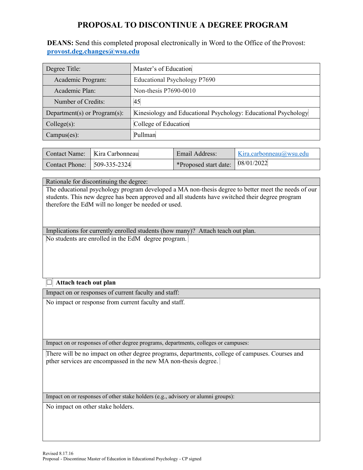## **PROPOSAL TO DISCONTINUE A DEGREE PROGRAM**

**DEANS:** Send this completed proposal electronically in Word to the Office of the Provost: **[provost.deg.changes@wsu.edu](mailto:provost.deg.changes@wsu.edu)**

| Degree Title:                | Master's of Education                                          |  |  |
|------------------------------|----------------------------------------------------------------|--|--|
| Academic Program:            | Educational Psychology P7690                                   |  |  |
| Academic Plan:               | Non-thesis P7690-0010                                          |  |  |
| Number of Credits:           | 45                                                             |  |  |
| Department(s) or Program(s): | Kinesiology and Educational Psychology: Educational Psychology |  |  |
| Collect(s):                  | College of Education                                           |  |  |
| Campus(es):                  | Pullman                                                        |  |  |

|                               | Contact Name:   Kira Carbonneau | Email Address:                                       | Kira.carbonneau@wsu.edu |
|-------------------------------|---------------------------------|------------------------------------------------------|-------------------------|
| Contact Phone:   509-335-2324 |                                 | $\sqrt{\frac{1}{2}$ *Proposed start date: 08/01/2022 |                         |

Rationale for discontinuing the degree:

The educational psychology program developed a MA non-thesis degree to better meet the needs of our students. This new degree has been approved and all students have switched their degree program therefore the EdM will no longer be needed or used.

Implications for currently enrolled students (how many)? Attach teach out plan. No students are enrolled in the EdM degree program.

## ܆ **Attach teach out plan**

Impact on or responses of current faculty and staff:

No impact or response from current faculty and staff.

Impact on or responses of other degree programs, departments, colleges or campuses:

There will be no impact on other degree programs, departments, college of campuses. Courses and pther services are encompassed in the new MA non-thesis degree.

Impact on or responses of other stake holders (e.g., advisory or alumni groups):

No impact on other stake holders.